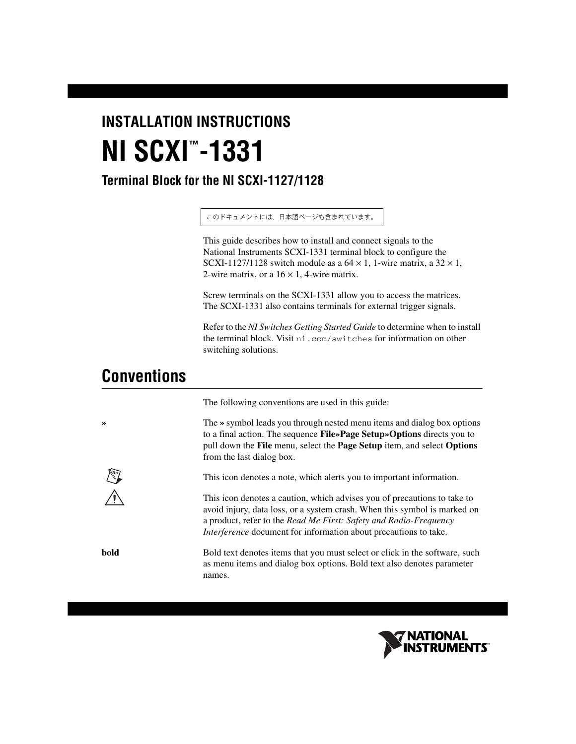# **INSTALLATION INSTRUCTIONS NI SCXI -1331 ™**

### **Terminal Block for the NI SCXI-1127/1128**

このドキュメントには、日本語ページも含まれています。

This guide describes how to install and connect signals to the National Instruments SCXI-1331 terminal block to configure the SCXI-1127/1128 switch module as a  $64 \times 1$ , 1-wire matrix, a  $32 \times 1$ , 2-wire matrix, or a  $16 \times 1$ , 4-wire matrix.

Screw terminals on the SCXI-1331 allow you to access the matrices. The SCXI-1331 also contains terminals for external trigger signals.

Refer to the *NI Switches Getting Started Guide* to determine when to install the terminal block. Visit ni.com/switches for information on other switching solutions.

# **Conventions**

|      | The following conventions are used in this guide:                                                                                                                                                                                                                                                     |
|------|-------------------------------------------------------------------------------------------------------------------------------------------------------------------------------------------------------------------------------------------------------------------------------------------------------|
| ≫    | The » symbol leads you through nested menu items and dialog box options<br>to a final action. The sequence File»Page Setup»Options directs you to<br>pull down the File menu, select the Page Setup item, and select Options<br>from the last dialog box.                                             |
|      | This icon denotes a note, which alerts you to important information.                                                                                                                                                                                                                                  |
|      | This icon denotes a caution, which advises you of precautions to take to<br>avoid injury, data loss, or a system crash. When this symbol is marked on<br>a product, refer to the Read Me First: Safety and Radio-Frequency<br><i>Interference</i> document for information about precautions to take. |
| bold | Bold text denotes items that you must select or click in the software, such<br>as menu items and dialog box options. Bold text also denotes parameter<br>names.                                                                                                                                       |

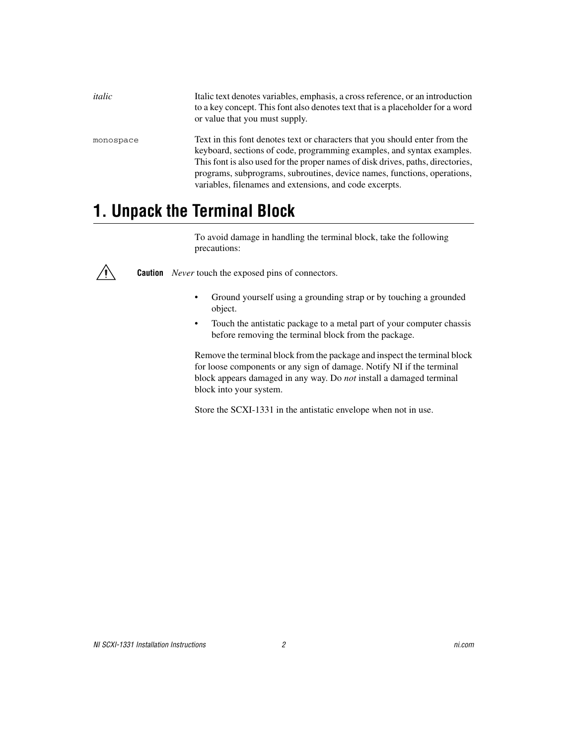*italic* Italic text denotes variables, emphasis, a cross reference, or an introduction to a key concept. This font also denotes text that is a placeholder for a word or value that you must supply.

monospace Text in this font denotes text or characters that you should enter from the keyboard, sections of code, programming examples, and syntax examples. This font is also used for the proper names of disk drives, paths, directories, programs, subprograms, subroutines, device names, functions, operations, variables, filenames and extensions, and code excerpts.

# **1. Unpack the Terminal Block**

To avoid damage in handling the terminal block, take the following precautions:

**Caution** *Never* touch the exposed pins of connectors.

- Ground yourself using a grounding strap or by touching a grounded object.
- Touch the antistatic package to a metal part of your computer chassis before removing the terminal block from the package.

Remove the terminal block from the package and inspect the terminal block for loose components or any sign of damage. Notify NI if the terminal block appears damaged in any way. Do *not* install a damaged terminal block into your system.

Store the SCXI-1331 in the antistatic envelope when not in use.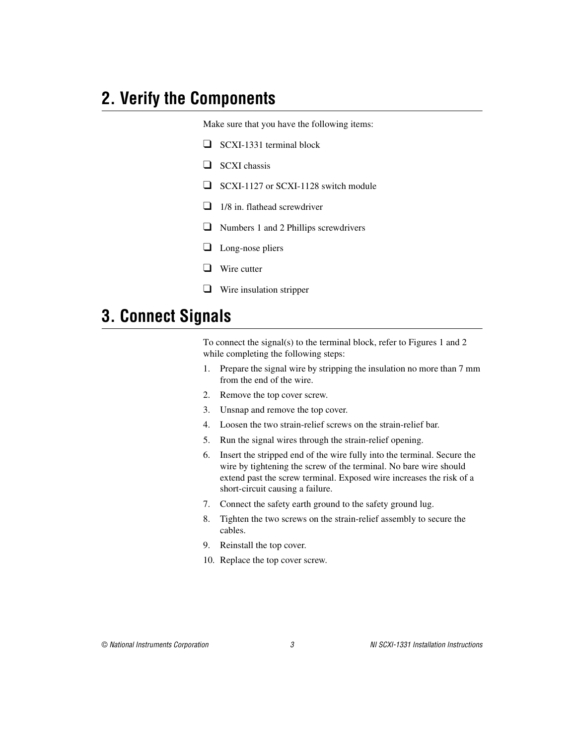# **2. Verify the Components**

Make sure that you have the following items:

- ❑ SCXI-1331 terminal block
- ❑ SCXI chassis
- ❑ SCXI-1127 or SCXI-1128 switch module
- $\Box$  1/8 in. flathead screwdriver
- ❑ Numbers 1 and 2 Phillips screwdrivers
- ❑ Long-nose pliers
- ❑ Wire cutter
- ❑ Wire insulation stripper

# **3. Connect Signals**

To connect the signal(s) to the terminal block, refer to Figure[s 1](#page-3-0) and [2](#page-4-0) while completing the following steps:

- 1. Prepare the signal wire by stripping the insulation no more than 7 mm from the end of the wire.
- 2. Remove the top cover screw.
- 3. Unsnap and remove the top cover.
- 4. Loosen the two strain-relief screws on the strain-relief bar.
- 5. Run the signal wires through the strain-relief opening.
- 6. Insert the stripped end of the wire fully into the terminal. Secure the wire by tightening the screw of the terminal. No bare wire should extend past the screw terminal. Exposed wire increases the risk of a short-circuit causing a failure.
- 7. Connect the safety earth ground to the safety ground lug.
- 8. Tighten the two screws on the strain-relief assembly to secure the cables.
- 9. Reinstall the top cover.
- 10. Replace the top cover screw.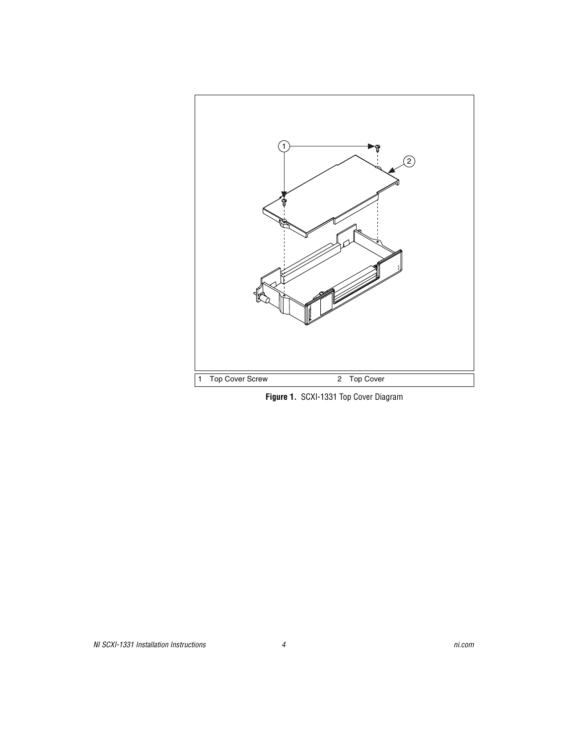

<span id="page-3-0"></span>**Figure 1.** SCXI-1331 Top Cover Diagram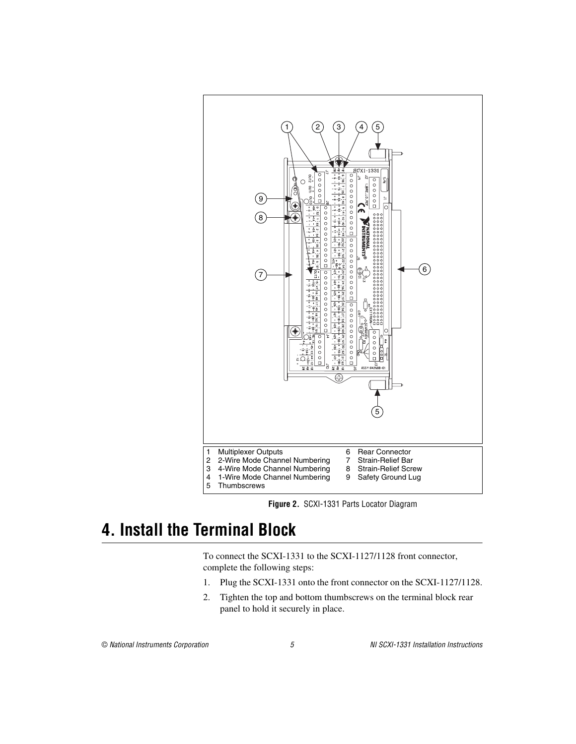

**Figure 2.** SCXI-1331 Parts Locator Diagram

# <span id="page-4-0"></span>**4. Install the Terminal Block**

To connect the SCXI-1331 to the SCXI-1127/1128 front connector, complete the following steps:

- 1. Plug the SCXI-1331 onto the front connector on the SCXI-1127/1128.
- 2. Tighten the top and bottom thumbscrews on the terminal block rear panel to hold it securely in place.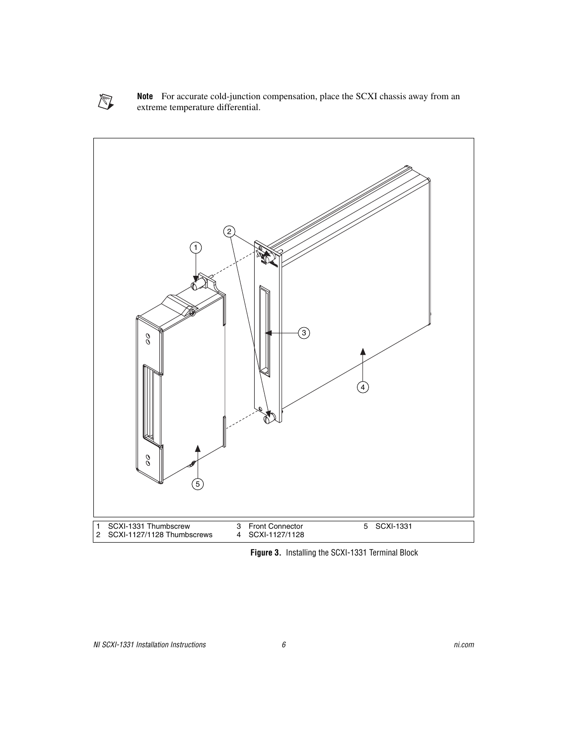

**Note** For accurate cold-junction compensation, place the SCXI chassis away from an extreme temperature differential.



**Figure 3.** Installing the SCXI-1331 Terminal Block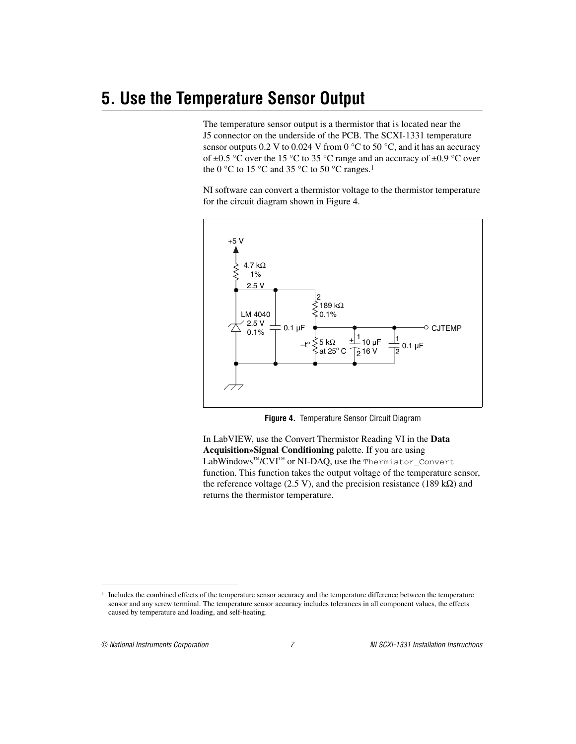# **5. Use the Temperature Sensor Output**

The temperature sensor output is a thermistor that is located near the J5 connector on the underside of the PCB. The SCXI-1331 temperature sensor outputs 0.2 V to 0.024 V from 0  $^{\circ}$ C to 50  $^{\circ}$ C, and it has an accuracy of  $\pm 0.5$  °C over the 15 °C to 35 °C range and an accuracy of  $\pm 0.9$  °C over the 0  $\degree$ C to 15  $\degree$ C and 35  $\degree$ C to 50  $\degree$ C ranges.<sup>1</sup>

NI software can convert a thermistor voltage to the thermistor temperature for the circuit diagram shown in Figure [4](#page-6-0).



**Figure 4.** Temperature Sensor Circuit Diagram

<span id="page-6-0"></span>In LabVIEW, use the Convert Thermistor Reading VI in the **Data Acquisition»Signal Conditioning** palette. If you are using LabWindows™/CVI™ or NI-DAQ, use the Thermistor\_Convert function. This function takes the output voltage of the temperature sensor, the reference voltage (2.5 V), and the precision resistance (189 kΩ) and returns the thermistor temperature.

 $<sup>1</sup>$  Includes the combined effects of the temperature sensor accuracy and the temperature difference between the temperature</sup> sensor and any screw terminal. The temperature sensor accuracy includes tolerances in all component values, the effects caused by temperature and loading, and self-heating.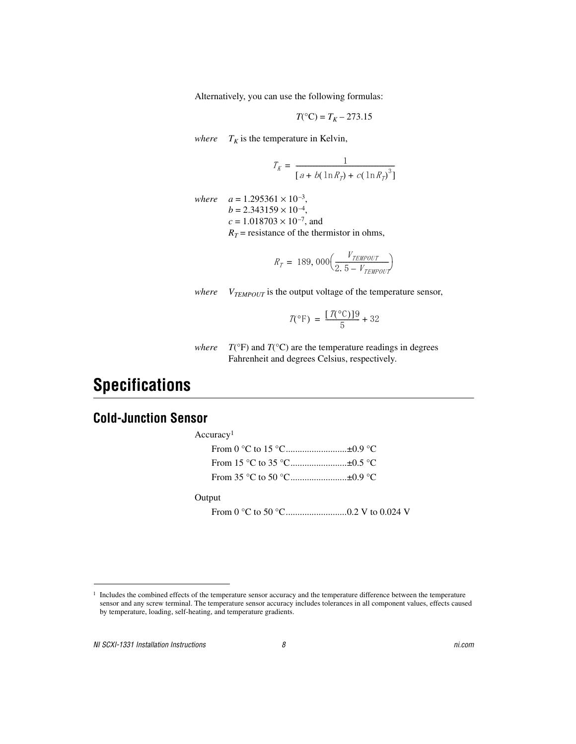Alternatively, you can use the following formulas:

$$
T(^{\circ}\mathrm{C})=T_K-273.15
$$

*where*  $T_K$  is the temperature in Kelvin,

$$
T_K = \frac{1}{[a + b(\ln R_T) + c(\ln R_T)^3]}
$$

*where*  $a = 1.295361 \times 10^{-3}$ ,  $b = 2.343159 \times 10^{-4}$ ,  $c = 1.018703 \times 10^{-7}$ , and  $R_T$  = resistance of the thermistor in ohms,

$$
R_T = 189,000 \left( \frac{V_{TEMPOUT}}{2.5 - V_{TEMPOUT}} \right)
$$

*where*  $V_{\text{TEMPOUT}}$  is the output voltage of the temperature sensor,

$$
\mathcal{I}(\mathrm{^{\circ}F}) = \frac{[\mathcal{I}(\mathrm{^{\circ}C})]9}{5} + 32
$$

*where*  $T({}^{\circ}F)$  and  $T({}^{\circ}C)$  are the temperature readings in degrees Fahrenheit and degrees Celsius, respectively.

# **Specifications**

#### **Cold-Junction Sensor**

Accuracy1 From 0 °C to 15 °C..............................±0.9 °C From 15 °C to 35 °C...............................±0.5 °C From 35 °C to 50 °C...............................±0.9 °C

#### Output

From 0 °C to 50 °C..........................0.2 V to 0.024 V

 $1$  Includes the combined effects of the temperature sensor accuracy and the temperature difference between the temperature sensor and any screw terminal. The temperature sensor accuracy includes tolerances in all component values, effects caused by temperature, loading, self-heating, and temperature gradients.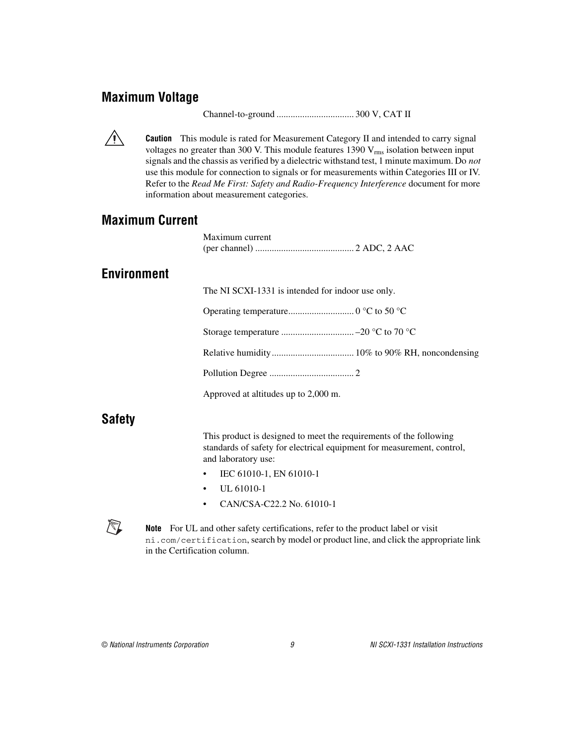#### **Maximum Voltage**

Channel-to-ground ................................. 300 V, CAT II



**Caution** This module is rated for Measurement Category II and intended to carry signal voltages no greater than 300 V. This module features 1390  $V_{rms}$  isolation between input signals and the chassis as verified by a dielectric withstand test, 1 minute maximum. Do *not*  use this module for connection to signals or for measurements within Categories III or IV. Refer to the *Read Me First: Safety and Radio-Frequency Interference* document for more information about measurement categories.

#### **Maximum Current**

|                    | Maximum current                                   |
|--------------------|---------------------------------------------------|
|                    |                                                   |
| <b>Environment</b> |                                                   |
|                    | The NI SCXI-1331 is intended for indoor use only. |
|                    |                                                   |
|                    |                                                   |
|                    |                                                   |
|                    |                                                   |
|                    | Approved at altitudes up to 2,000 m.              |
|                    |                                                   |

#### **Safety**

This product is designed to meet the requirements of the following standards of safety for electrical equipment for measurement, control, and laboratory use:

- IEC 61010-1, EN 61010-1
- UL 61010-1
- CAN/CSA-C22.2 No. 61010-1



**Note** For UL and other safety certifications, refer to the product label or visit ni.com/certification, search by model or product line, and click the appropriate link in the Certification column.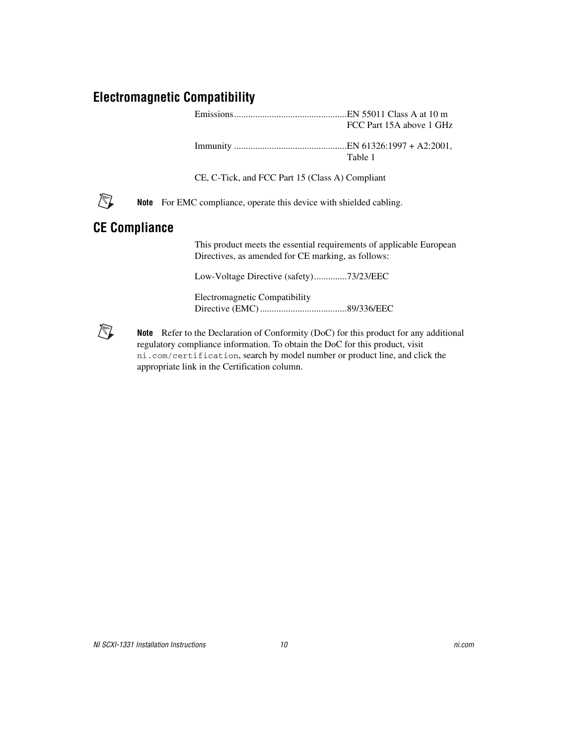#### **Electromagnetic Compatibility**

Emissions................................................EN 55011 Class A at 10 m FCC Part 15A above 1 GHz

Immunity ................................................EN 61326:1997 + A2:2001, Table 1

CE, C-Tick, and FCC Part 15 (Class A) Compliant



**Note** For EMC compliance, operate this device with shielded cabling.

#### **CE Compliance**

This product meets the essential requirements of applicable European Directives, as amended for CE marking, as follows:

Low-Voltage Directive (safety)..............73/23/EEC

Electromagnetic Compatibility Directive (EMC) .....................................89/336/EEC



**Note** Refer to the Declaration of Conformity (DoC) for this product for any additional regulatory compliance information. To obtain the DoC for this product, visit ni.com/certification, search by model number or product line, and click the appropriate link in the Certification column.